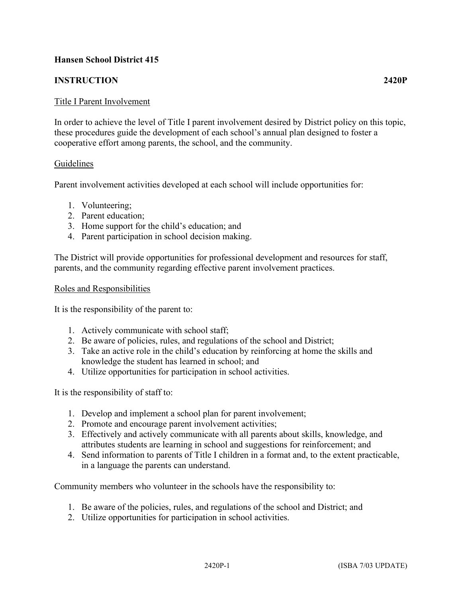# **Hansen School District 415**

## **INSTRUCTION 2420P**

## Title I Parent Involvement

In order to achieve the level of Title I parent involvement desired by District policy on this topic, these procedures guide the development of each school's annual plan designed to foster a cooperative effort among parents, the school, and the community.

### Guidelines

Parent involvement activities developed at each school will include opportunities for:

- 1. Volunteering;
- 2. Parent education;
- 3. Home support for the child's education; and
- 4. Parent participation in school decision making.

The District will provide opportunities for professional development and resources for staff, parents, and the community regarding effective parent involvement practices.

### Roles and Responsibilities

It is the responsibility of the parent to:

- 1. Actively communicate with school staff;
- 2. Be aware of policies, rules, and regulations of the school and District;
- 3. Take an active role in the child's education by reinforcing at home the skills and knowledge the student has learned in school; and
- 4. Utilize opportunities for participation in school activities.

It is the responsibility of staff to:

- 1. Develop and implement a school plan for parent involvement;
- 2. Promote and encourage parent involvement activities;
- 3. Effectively and actively communicate with all parents about skills, knowledge, and attributes students are learning in school and suggestions for reinforcement; and
- 4. Send information to parents of Title I children in a format and, to the extent practicable, in a language the parents can understand.

Community members who volunteer in the schools have the responsibility to:

- 1. Be aware of the policies, rules, and regulations of the school and District; and
- 2. Utilize opportunities for participation in school activities.